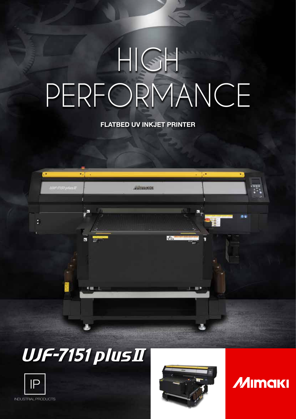# HIGH PERFORMANCE

### FLATBED UV INKJET PRINTER



## **UJF-7151 plusII**